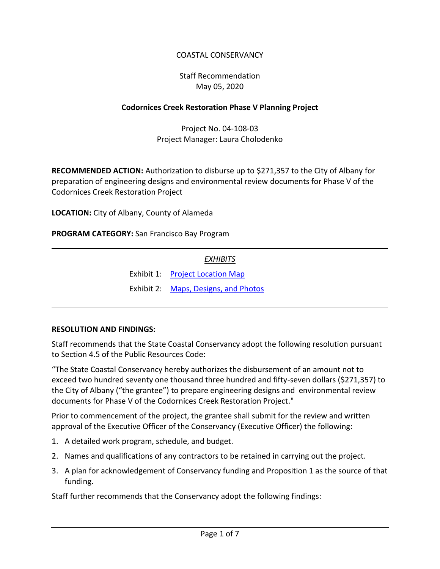# COASTAL CONSERVANCY

# Staff Recommendation May 05, 2020

#### **Codornices Creek Restoration Phase V Planning Project**

Project No. 04-108-03 Project Manager: Laura Cholodenko

**RECOMMENDED ACTION:** Authorization to disburse up to \$271,357 to the City of Albany for preparation of engineering designs and environmental review documents for Phase V of the Codornices Creek Restoration Project

**LOCATION:** City of Albany, County of Alameda

**PROGRAM CATEGORY:** San Francisco Bay Program

### *EXHIBITS*

Exhibit 1: [Project Location Map](20200505Board03H_Codornices_Creek_Ex1.pdf)

Exhibit 2: [Maps, Designs, and Photos](20200505Board03H_Codornices_Creek_Ex2.pdf)

#### **RESOLUTION AND FINDINGS:**

Staff recommends that the State Coastal Conservancy adopt the following resolution pursuant to Section 4.5 of the Public Resources Code:

"The State Coastal Conservancy hereby authorizes the disbursement of an amount not to exceed two hundred seventy one thousand three hundred and fifty-seven dollars (\$271,357) to the City of Albany ("the grantee") to prepare engineering designs and environmental review documents for Phase V of the Codornices Creek Restoration Project."

Prior to commencement of the project, the grantee shall submit for the review and written approval of the Executive Officer of the Conservancy (Executive Officer) the following:

- 1. A detailed work program, schedule, and budget.
- 2. Names and qualifications of any contractors to be retained in carrying out the project.
- 3. A plan for acknowledgement of Conservancy funding and Proposition 1 as the source of that funding.

Staff further recommends that the Conservancy adopt the following findings: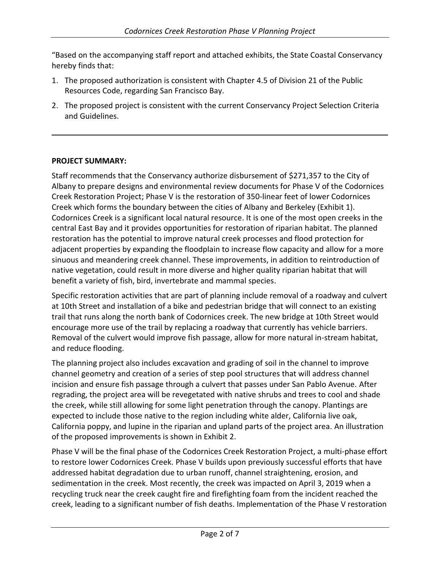"Based on the accompanying staff report and attached exhibits, the State Coastal Conservancy hereby finds that:

- 1. The proposed authorization is consistent with Chapter 4.5 of Division 21 of the Public Resources Code, regarding San Francisco Bay.
- 2. The proposed project is consistent with the current Conservancy Project Selection Criteria and Guidelines.

### **PROJECT SUMMARY:**

Staff recommends that the Conservancy authorize disbursement of \$271,357 to the City of Albany to prepare designs and environmental review documents for Phase V of the Codornices Creek Restoration Project; Phase V is the restoration of 350-linear feet of lower Codornices Creek which forms the boundary between the cities of Albany and Berkeley (Exhibit 1). Codornices Creek is a significant local natural resource. It is one of the most open creeks in the central East Bay and it provides opportunities for restoration of riparian habitat. The planned restoration has the potential to improve natural creek processes and flood protection for adjacent properties by expanding the floodplain to increase flow capacity and allow for a more sinuous and meandering creek channel. These improvements, in addition to reintroduction of native vegetation, could result in more diverse and higher quality riparian habitat that will benefit a variety of fish, bird, invertebrate and mammal species.

Specific restoration activities that are part of planning include removal of a roadway and culvert at 10th Street and installation of a bike and pedestrian bridge that will connect to an existing trail that runs along the north bank of Codornices creek. The new bridge at 10th Street would encourage more use of the trail by replacing a roadway that currently has vehicle barriers. Removal of the culvert would improve fish passage, allow for more natural in-stream habitat, and reduce flooding.

The planning project also includes excavation and grading of soil in the channel to improve channel geometry and creation of a series of step pool structures that will address channel incision and ensure fish passage through a culvert that passes under San Pablo Avenue. After regrading, the project area will be revegetated with native shrubs and trees to cool and shade the creek, while still allowing for some light penetration through the canopy. Plantings are expected to include those native to the region including white alder, California live oak, California poppy, and lupine in the riparian and upland parts of the project area. An illustration of the proposed improvements is shown in Exhibit 2.

Phase V will be the final phase of the Codornices Creek Restoration Project, a multi-phase effort to restore lower Codornices Creek. Phase V builds upon previously successful efforts that have addressed habitat degradation due to urban runoff, channel straightening, erosion, and sedimentation in the creek. Most recently, the creek was impacted on April 3, 2019 when a recycling truck near the creek caught fire and firefighting foam from the incident reached the creek, leading to a significant number of fish deaths. Implementation of the Phase V restoration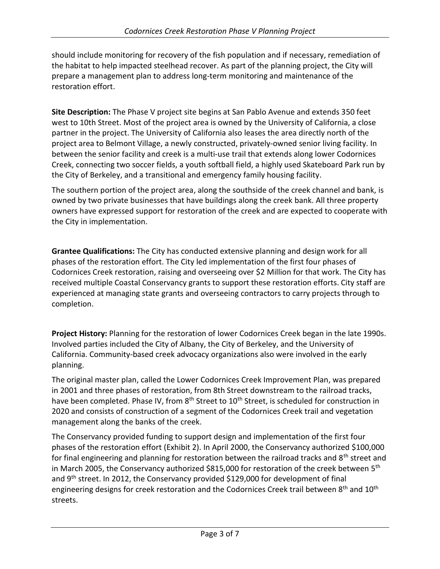should include monitoring for recovery of the fish population and if necessary, remediation of the habitat to help impacted steelhead recover. As part of the planning project, the City will prepare a management plan to address long-term monitoring and maintenance of the restoration effort.

**Site Description:** The Phase V project site begins at San Pablo Avenue and extends 350 feet west to 10th Street. Most of the project area is owned by the University of California, a close partner in the project. The University of California also leases the area directly north of the project area to Belmont Village, a newly constructed, privately-owned senior living facility. In between the senior facility and creek is a multi-use trail that extends along lower Codornices Creek, connecting two soccer fields, a youth softball field, a highly used Skateboard Park run by the City of Berkeley, and a transitional and emergency family housing facility.

The southern portion of the project area, along the southside of the creek channel and bank, is owned by two private businesses that have buildings along the creek bank. All three property owners have expressed support for restoration of the creek and are expected to cooperate with the City in implementation.

**Grantee Qualifications:** The City has conducted extensive planning and design work for all phases of the restoration effort. The City led implementation of the first four phases of Codornices Creek restoration, raising and overseeing over \$2 Million for that work. The City has received multiple Coastal Conservancy grants to support these restoration efforts. City staff are experienced at managing state grants and overseeing contractors to carry projects through to completion.

**Project History:** Planning for the restoration of lower Codornices Creek began in the late 1990s. Involved parties included the City of Albany, the City of Berkeley, and the University of California. Community-based creek advocacy organizations also were involved in the early planning.

The original master plan, called the Lower Codornices Creek Improvement Plan, was prepared in 2001 and three phases of restoration, from 8th Street downstream to the railroad tracks, have been completed. Phase IV, from 8<sup>th</sup> Street to 10<sup>th</sup> Street, is scheduled for construction in 2020 and consists of construction of a segment of the Codornices Creek trail and vegetation management along the banks of the creek.

The Conservancy provided funding to support design and implementation of the first four phases of the restoration effort (Exhibit 2). In April 2000, the Conservancy authorized \$100,000 for final engineering and planning for restoration between the railroad tracks and 8<sup>th</sup> street and in March 2005, the Conservancy authorized \$815,000 for restoration of the creek between  $5<sup>th</sup>$ and 9th street. In 2012, the Conservancy provided \$129,000 for development of final engineering designs for creek restoration and the Codornices Creek trail between 8<sup>th</sup> and 10<sup>th</sup> streets.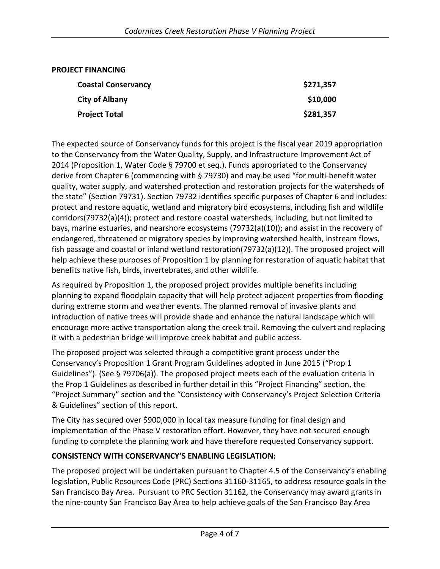| <b>PROJECT FINANCING</b>   |           |
|----------------------------|-----------|
| <b>Coastal Conservancy</b> | \$271,357 |
| <b>City of Albany</b>      | \$10,000  |
| <b>Project Total</b>       | \$281,357 |

The expected source of Conservancy funds for this project is the fiscal year 2019 appropriation to the Conservancy from the Water Quality, Supply, and Infrastructure Improvement Act of 2014 (Proposition 1, Water Code § 79700 et seq.). Funds appropriated to the Conservancy derive from Chapter 6 (commencing with § 79730) and may be used "for multi-benefit water quality, water supply, and watershed protection and restoration projects for the watersheds of the state" (Section 79731). Section 79732 identifies specific purposes of Chapter 6 and includes: protect and restore aquatic, wetland and migratory bird ecosystems, including fish and wildlife corridors(79732(a)(4)); protect and restore coastal watersheds, including, but not limited to bays, marine estuaries, and nearshore ecosystems (79732(a)(10)); and assist in the recovery of endangered, threatened or migratory species by improving watershed health, instream flows, fish passage and coastal or inland wetland restoration(79732(a)(12)). The proposed project will help achieve these purposes of Proposition 1 by planning for restoration of aquatic habitat that benefits native fish, birds, invertebrates, and other wildlife.

As required by Proposition 1, the proposed project provides multiple benefits including planning to expand floodplain capacity that will help protect adjacent properties from flooding during extreme storm and weather events. The planned removal of invasive plants and introduction of native trees will provide shade and enhance the natural landscape which will encourage more active transportation along the creek trail. Removing the culvert and replacing it with a pedestrian bridge will improve creek habitat and public access.

The proposed project was selected through a competitive grant process under the Conservancy's Proposition 1 Grant Program Guidelines adopted in June 2015 ("Prop 1 Guidelines"). (See § 79706(a)). The proposed project meets each of the evaluation criteria in the Prop 1 Guidelines as described in further detail in this "Project Financing" section, the "Project Summary" section and the "Consistency with Conservancy's Project Selection Criteria & Guidelines" section of this report.

The City has secured over \$900,000 in local tax measure funding for final design and implementation of the Phase V restoration effort. However, they have not secured enough funding to complete the planning work and have therefore requested Conservancy support.

### **CONSISTENCY WITH CONSERVANCY'S ENABLING LEGISLATION:**

The proposed project will be undertaken pursuant to Chapter 4.5 of the Conservancy's enabling legislation, Public Resources Code (PRC) Sections 31160-31165, to address resource goals in the San Francisco Bay Area. Pursuant to PRC Section 31162, the Conservancy may award grants in the nine-county San Francisco Bay Area to help achieve goals of the San Francisco Bay Area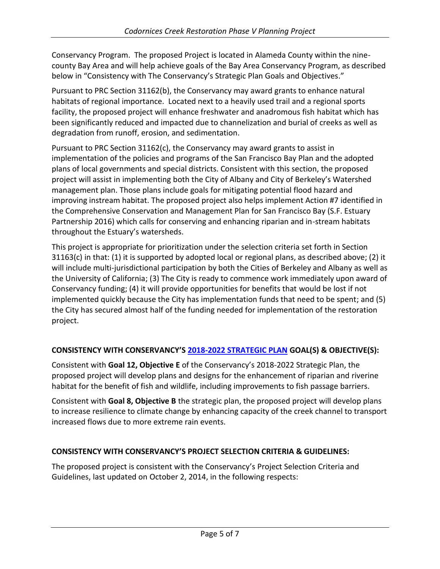Conservancy Program. The proposed Project is located in Alameda County within the ninecounty Bay Area and will help achieve goals of the Bay Area Conservancy Program, as described below in "Consistency with The Conservancy's Strategic Plan Goals and Objectives."

Pursuant to PRC Section 31162(b), the Conservancy may award grants to enhance natural habitats of regional importance. Located next to a heavily used trail and a regional sports facility, the proposed project will enhance freshwater and anadromous fish habitat which has been significantly reduced and impacted due to channelization and burial of creeks as well as degradation from runoff, erosion, and sedimentation.

Pursuant to PRC Section 31162(c), the Conservancy may award grants to assist in implementation of the policies and programs of the San Francisco Bay Plan and the adopted plans of local governments and special districts. Consistent with this section, the proposed project will assist in implementing both the City of Albany and City of Berkeley's Watershed management plan. Those plans include goals for mitigating potential flood hazard and improving instream habitat. The proposed project also helps implement Action #7 identified in the Comprehensive Conservation and Management Plan for San Francisco Bay (S.F. Estuary Partnership 2016) which calls for conserving and enhancing riparian and in-stream habitats throughout the Estuary's watersheds.

This project is appropriate for prioritization under the selection criteria set forth in Section  $31163(c)$  in that: (1) it is supported by adopted local or regional plans, as described above; (2) it will include multi-jurisdictional participation by both the Cities of Berkeley and Albany as well as the University of California; (3) The City is ready to commence work immediately upon award of Conservancy funding; (4) it will provide opportunities for benefits that would be lost if not implemented quickly because the City has implementation funds that need to be spent; and (5) the City has secured almost half of the funding needed for implementation of the restoration project.

# **CONSISTENCY WITH CONSERVANCY'S 2018-2022 [STRATEGIC PLAN](http://scc.ca.gov/files/2018/01/CoastalConservancy_StrategicPlan_2018_2022.pdf) GOAL(S) & OBJECTIVE(S):**

Consistent with **Goal 12, Objective E** of the Conservancy's 2018-2022 Strategic Plan, the proposed project will develop plans and designs for the enhancement of riparian and riverine habitat for the benefit of fish and wildlife, including improvements to fish passage barriers.

Consistent with **Goal 8, Objective B** the strategic plan, the proposed project will develop plans to increase resilience to climate change by enhancing capacity of the creek channel to transport increased flows due to more extreme rain events.

### **CONSISTENCY WITH CONSERVANCY'S PROJECT SELECTION CRITERIA & GUIDELINES:**

The proposed project is consistent with the Conservancy's Project Selection Criteria and Guidelines, last updated on October 2, 2014, in the following respects: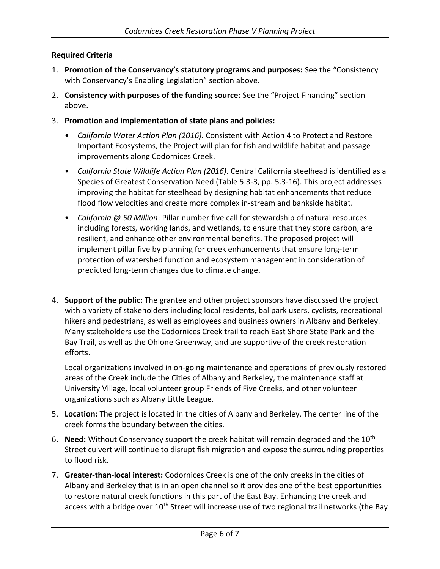# **Required Criteria**

- 1. **Promotion of the Conservancy's statutory programs and purposes:** See the "Consistency with Conservancy's Enabling Legislation" section above.
- 2. **Consistency with purposes of the funding source:** See the "Project Financing" section above.
- 3. **Promotion and implementation of state plans and policies:** 
	- *California Water Action Plan (2016)*. Consistent with Action 4 to Protect and Restore Important Ecosystems, the Project will plan for fish and wildlife habitat and passage improvements along Codornices Creek.
	- *California State Wildlife Action Plan (2016)*. Central California steelhead is identified as a Species of Greatest Conservation Need (Table 5.3-3, pp. 5.3-16). This project addresses improving the habitat for steelhead by designing habitat enhancements that reduce flood flow velocities and create more complex in-stream and bankside habitat.
	- *California @ 50 Million*: Pillar number five call for stewardship of natural resources including forests, working lands, and wetlands, to ensure that they store carbon, are resilient, and enhance other environmental benefits. The proposed project will implement pillar five by planning for creek enhancements that ensure long-term protection of watershed function and ecosystem management in consideration of predicted long-term changes due to climate change.
- 4. **Support of the public:** The grantee and other project sponsors have discussed the project with a variety of stakeholders including local residents, ballpark users, cyclists, recreational hikers and pedestrians, as well as employees and business owners in Albany and Berkeley. Many stakeholders use the Codornices Creek trail to reach East Shore State Park and the Bay Trail, as well as the Ohlone Greenway, and are supportive of the creek restoration efforts.

Local organizations involved in on-going maintenance and operations of previously restored areas of the Creek include the Cities of Albany and Berkeley, the maintenance staff at University Village, local volunteer group Friends of Five Creeks, and other volunteer organizations such as Albany Little League.

- 5. **Location:** The project is located in the cities of Albany and Berkeley. The center line of the creek forms the boundary between the cities.
- 6. **Need:** Without Conservancy support the creek habitat will remain degraded and the 10th Street culvert will continue to disrupt fish migration and expose the surrounding properties to flood risk.
- 7. **Greater-than-local interest:** Codornices Creek is one of the only creeks in the cities of Albany and Berkeley that is in an open channel so it provides one of the best opportunities to restore natural creek functions in this part of the East Bay. Enhancing the creek and access with a bridge over 10<sup>th</sup> Street will increase use of two regional trail networks (the Bay